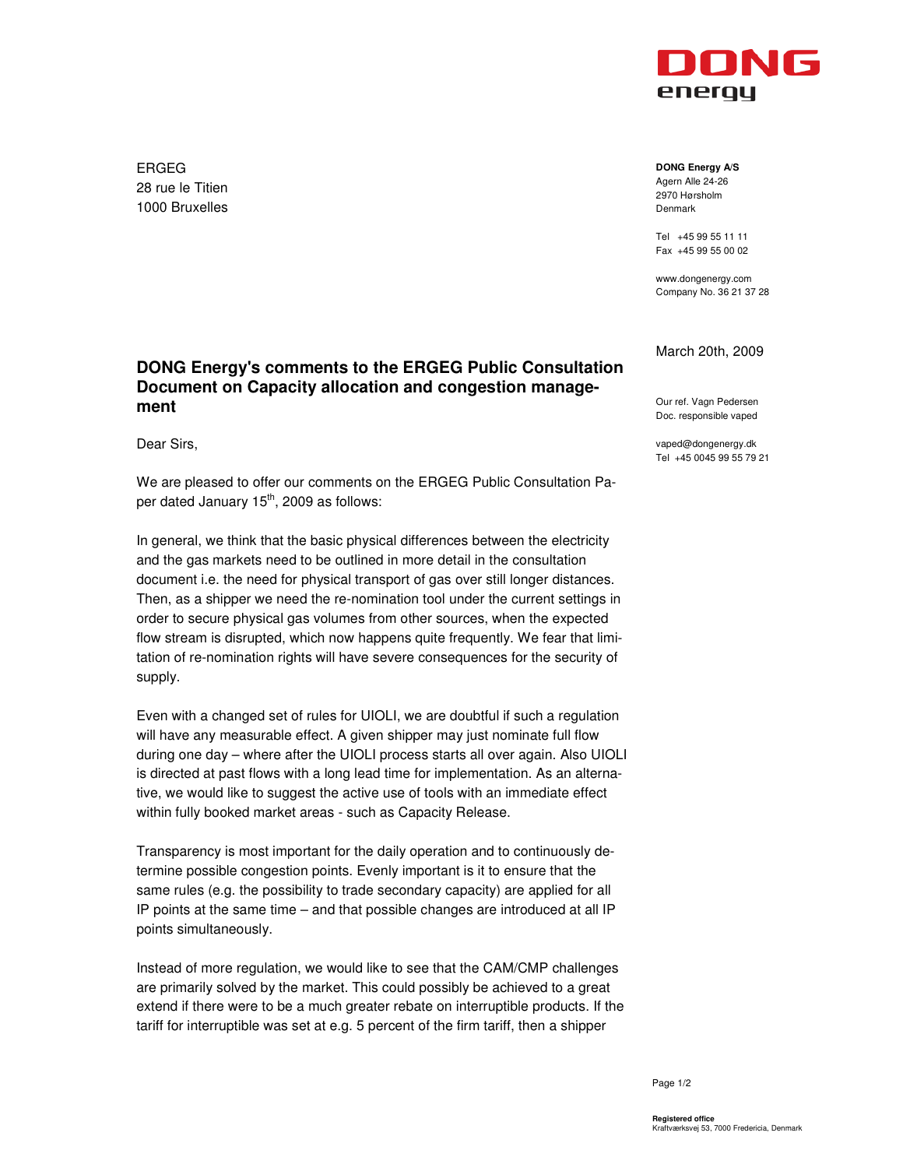

ERGEG 28 rue le Titien 1000 Bruxelles

## **DONG Energy A/S**  Agern Alle 24-26 2970 Hørsholm Denmark

Tel +45 99 55 11 11 Fax +45 99 55 00 02

www.dongenergy.com Company No. 36 21 37 28

## March 20th, 2009

Our ref. Vagn Pedersen Doc. responsible vaped

vaped@dongenergy.dk Tel +45 0045 99 55 79 21

Dear Sirs,

**ment** 

We are pleased to offer our comments on the ERGEG Public Consultation Paper dated January  $15<sup>th</sup>$ , 2009 as follows:

**DONG Energy's comments to the ERGEG Public Consultation Document on Capacity allocation and congestion manage-**

In general, we think that the basic physical differences between the electricity and the gas markets need to be outlined in more detail in the consultation document i.e. the need for physical transport of gas over still longer distances. Then, as a shipper we need the re-nomination tool under the current settings in order to secure physical gas volumes from other sources, when the expected flow stream is disrupted, which now happens quite frequently. We fear that limitation of re-nomination rights will have severe consequences for the security of supply.

Even with a changed set of rules for UIOLI, we are doubtful if such a regulation will have any measurable effect. A given shipper may just nominate full flow during one day – where after the UIOLI process starts all over again. Also UIOLI is directed at past flows with a long lead time for implementation. As an alternative, we would like to suggest the active use of tools with an immediate effect within fully booked market areas - such as Capacity Release.

Transparency is most important for the daily operation and to continuously determine possible congestion points. Evenly important is it to ensure that the same rules (e.g. the possibility to trade secondary capacity) are applied for all IP points at the same time – and that possible changes are introduced at all IP points simultaneously.

Instead of more regulation, we would like to see that the CAM/CMP challenges are primarily solved by the market. This could possibly be achieved to a great extend if there were to be a much greater rebate on interruptible products. If the tariff for interruptible was set at e.g. 5 percent of the firm tariff, then a shipper